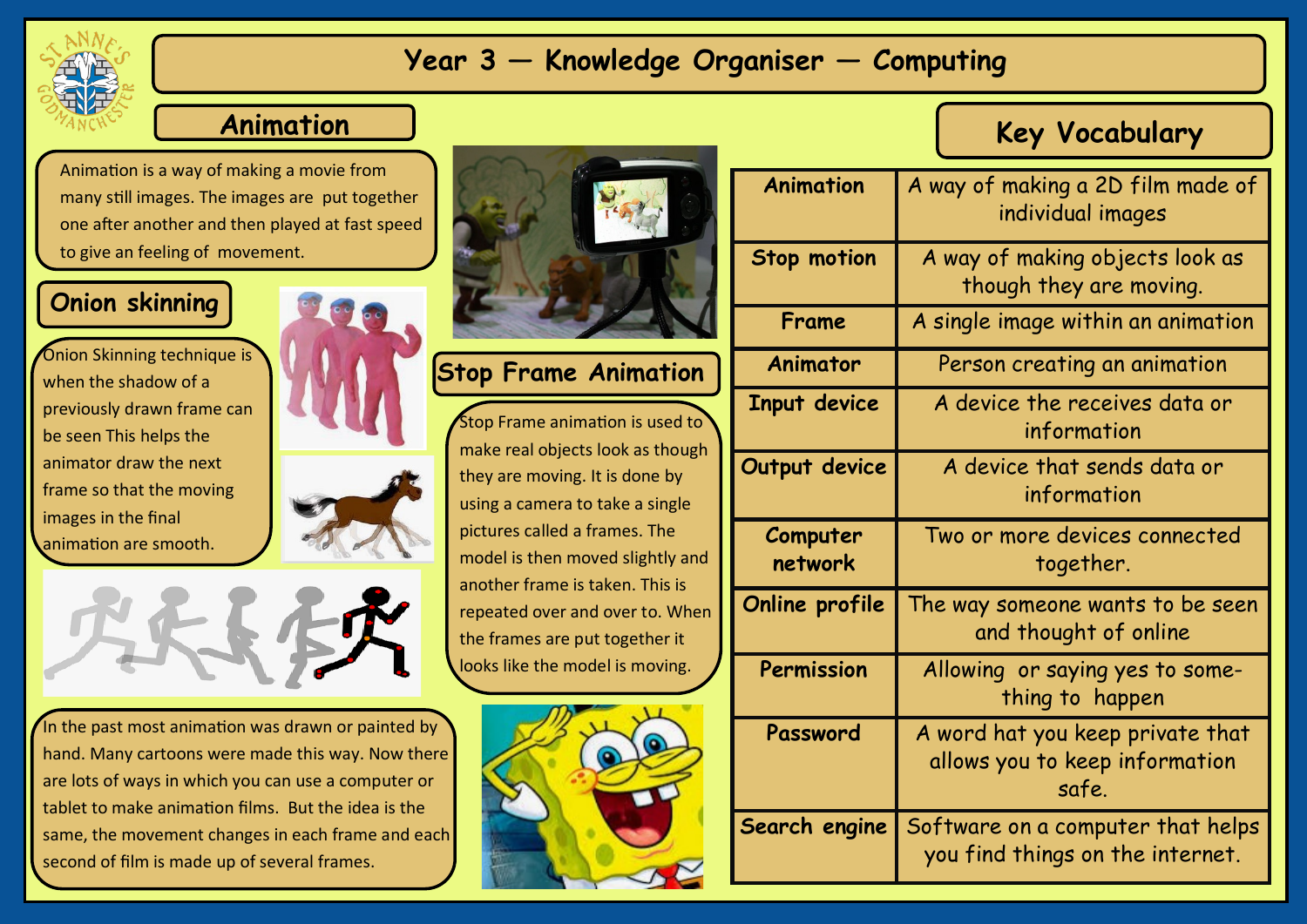

## **Year 3 — Knowledge Organiser — Computing**

#### **Animation**

Animation is a way of making a movie from many still images. The images are put together one after another and then played at fast speed to give an feeling of movement.

#### **Onion skinning**

**Onion Skinning technique is** when the shadow of a previously drawn frame can be seen This helps the animator draw the next frame so that the moving images in the final animation are smooth.





In the past most animation was drawn or painted by hand. Many cartoons were made this way. Now there are lots of ways in which you can use a computer or tablet to make animation films. But the idea is the same, the movement changes in each frame and each second of film is made up of several frames.



**Stop Frame Animation**

Stop Frame animation is used to make real objects look as though they are moving. It is done by using a camera to take a single pictures called a frames. The model is then moved slightly and another frame is taken. This is repeated over and over to. When the frames are put together it looks like the model is moving.



| <b>Animation</b>    | A way of making a 2D film made of<br>individual images                      |
|---------------------|-----------------------------------------------------------------------------|
| <b>Stop motion</b>  | A way of making objects look as<br>though they are moving.                  |
| Frame               | A single image within an animation                                          |
| Animator            | Person creating an animation                                                |
| Input device        | A device the receives data or<br>information                                |
| Output device       | A device that sends data or<br>information                                  |
| Computer<br>network | Two or more devices connected<br>together.                                  |
| Online profile      | The way someone wants to be seen<br>and thought of online                   |
| Permission          | Allowing or saying yes to some-<br>thing to happen                          |
| Password            | A word hat you keep private that<br>allows you to keep information<br>safe. |
| Search engine       | Software on a computer that helps<br>you find things on the internet.       |

**Key Vocabulary**